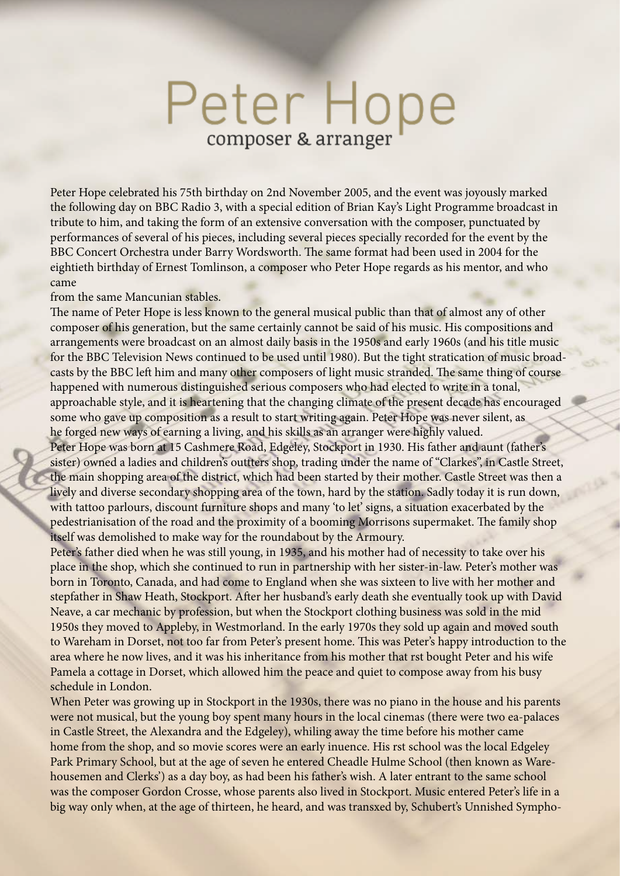## Peter Hope composer & arranger

Peter Hope celebrated his 75th birthday on 2nd November 2005, and the event was joyously marked the following day on BBC Radio 3, with a special edition of Brian Kay's Light Programme broadcast in tribute to him, and taking the form of an extensive conversation with the composer, punctuated by performances of several of his pieces, including several pieces specially recorded for the event by the BBC Concert Orchestra under Barry Wordsworth. The same format had been used in 2004 for the eightieth birthday of Ernest Tomlinson, a composer who Peter Hope regards as his mentor, and who came

from the same Mancunian stables.

The name of Peter Hope is less known to the general musical public than that of almost any of other composer of his generation, but the same certainly cannot be said of his music. His compositions and arrangements were broadcast on an almost daily basis in the 1950s and early 1960s (and his title music for the BBC Television News continued to be used until 1980). But the tight stratication of music broadcasts by the BBC left him and many other composers of light music stranded. The same thing of course happened with numerous distinguished serious composers who had elected to write in a tonal, approachable style, and it is heartening that the changing climate of the present decade has encouraged some who gave up composition as a result to start writing again. Peter Hope was never silent, as he forged new ways of earning a living, and his skills as an arranger were highly valued.

Peter Hope was born at 15 Cashmere Road, Edgeley, Stockport in 1930. His father and aunt (father's sister) owned a ladies and children's outtters shop, trading under the name of "Clarkes", in Castle Street, the main shopping area of the district, which had been started by their mother. Castle Street was then a lively and diverse secondary shopping area of the town, hard by the station. Sadly today it is run down, with tattoo parlours, discount furniture shops and many 'to let' signs, a situation exacerbated by the pedestrianisation of the road and the proximity of a booming Morrisons supermaket. The family shop itself was demolished to make way for the roundabout by the Armoury.

Peter's father died when he was still young, in 1935, and his mother had of necessity to take over his place in the shop, which she continued to run in partnership with her sister-in-law. Peter's mother was born in Toronto, Canada, and had come to England when she was sixteen to live with her mother and stepfather in Shaw Heath, Stockport. Afer her husband's early death she eventually took up with David Neave, a car mechanic by profession, but when the Stockport clothing business was sold in the mid 1950s they moved to Appleby, in Westmorland. In the early 1970s they sold up again and moved south to Wareham in Dorset, not too far from Peter's present home. This was Peter's happy introduction to the area where he now lives, and it was his inheritance from his mother that rst bought Peter and his wife Pamela a cottage in Dorset, which allowed him the peace and quiet to compose away from his busy schedule in London.

When Peter was growing up in Stockport in the 1930s, there was no piano in the house and his parents were not musical, but the young boy spent many hours in the local cinemas (there were two ea-palaces in Castle Street, the Alexandra and the Edgeley), whiling away the time before his mother came home from the shop, and so movie scores were an early inuence. His rst school was the local Edgeley Park Primary School, but at the age of seven he entered Cheadle Hulme School (then known as Warehousemen and Clerks') as a day boy, as had been his father's wish. A later entrant to the same school was the composer Gordon Crosse, whose parents also lived in Stockport. Music entered Peter's life in a big way only when, at the age of thirteen, he heard, and was transxed by, Schubert's Unnished Sympho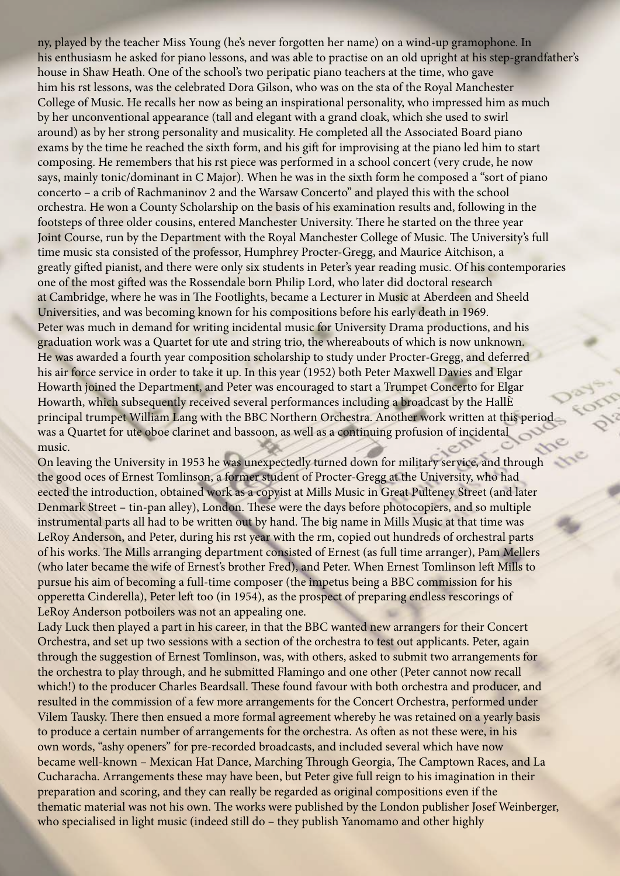ny, played by the teacher Miss Young (he's never forgotten her name) on a wind-up gramophone. In his enthusiasm he asked for piano lessons, and was able to practise on an old upright at his step-grandfather's house in Shaw Heath. One of the school's two peripatic piano teachers at the time, who gave him his rst lessons, was the celebrated Dora Gilson, who was on the sta of the Royal Manchester College of Music. He recalls her now as being an inspirational personality, who impressed him as much by her unconventional appearance (tall and elegant with a grand cloak, which she used to swirl around) as by her strong personality and musicality. He completed all the Associated Board piano exams by the time he reached the sixth form, and his gif for improvising at the piano led him to start composing. He remembers that his rst piece was performed in a school concert (very crude, he now says, mainly tonic/dominant in C Major). When he was in the sixth form he composed a "sort of piano concerto – a crib of Rachmaninov 2 and the Warsaw Concerto" and played this with the school orchestra. He won a County Scholarship on the basis of his examination results and, following in the footsteps of three older cousins, entered Manchester University. There he started on the three year Joint Course, run by the Department with the Royal Manchester College of Music. The University's full time music sta consisted of the professor, Humphrey Procter-Gregg, and Maurice Aitchison, a greatly gifed pianist, and there were only six students in Peter's year reading music. Of his contemporaries one of the most gifed was the Rossendale born Philip Lord, who later did doctoral research at Cambridge, where he was in The Footlights, became a Lecturer in Music at Aberdeen and Sheeld Universities, and was becoming known for his compositions before his early death in 1969. Peter was much in demand for writing incidental music for University Drama productions, and his graduation work was a Quartet for ute and string trio, the whereabouts of which is now unknown. He was awarded a fourth year composition scholarship to study under Procter-Gregg, and deferred his air force service in order to take it up. In this year (1952) both Peter Maxwell Davies and Elgar Howarth joined the Department, and Peter was encouraged to start a Trumpet Concerto for Elgar Howarth, which subsequently received several performances including a broadcast by the HallÈ principal trumpet William Lang with the BBC Northern Orchestra. Another work written at this period was a Quartet for ute oboe clarinet and bassoon, as well as a continuing profusion of incidental music.

On leaving the University in 1953 he was unexpectedly turned down for military service, and through the good oces of Ernest Tomlinson, a former student of Procter-Gregg at the University, who had eected the introduction, obtained work as a copyist at Mills Music in Great Pulteney Street (and later Denmark Street – tin-pan alley), London. These were the days before photocopiers, and so multiple instrumental parts all had to be written out by hand. The big name in Mills Music at that time was LeRoy Anderson, and Peter, during his rst year with the rm, copied out hundreds of orchestral parts of his works. The Mills arranging department consisted of Ernest (as full time arranger), Pam Mellers (who later became the wife of Ernest's brother Fred), and Peter. When Ernest Tomlinson left Mills to pursue his aim of becoming a full-time composer (the impetus being a BBC commission for his opperetta Cinderella), Peter left too (in 1954), as the prospect of preparing endless rescorings of LeRoy Anderson potboilers was not an appealing one.

Lady Luck then played a part in his career, in that the BBC wanted new arrangers for their Concert Orchestra, and set up two sessions with a section of the orchestra to test out applicants. Peter, again through the suggestion of Ernest Tomlinson, was, with others, asked to submit two arrangements for the orchestra to play through, and he submitted Flamingo and one other (Peter cannot now recall which!) to the producer Charles Beardsall. These found favour with both orchestra and producer, and resulted in the commission of a few more arrangements for the Concert Orchestra, performed under Vilem Tausky. There then ensued a more formal agreement whereby he was retained on a yearly basis to produce a certain number of arrangements for the orchestra. As ofen as not these were, in his own words, "ashy openers" for pre-recorded broadcasts, and included several which have now became well-known – Mexican Hat Dance, Marching Through Georgia, The Camptown Races, and La Cucharacha. Arrangements these may have been, but Peter give full reign to his imagination in their preparation and scoring, and they can really be regarded as original compositions even if the thematic material was not his own. The works were published by the London publisher Josef Weinberger, who specialised in light music (indeed still do – they publish Yanomamo and other highly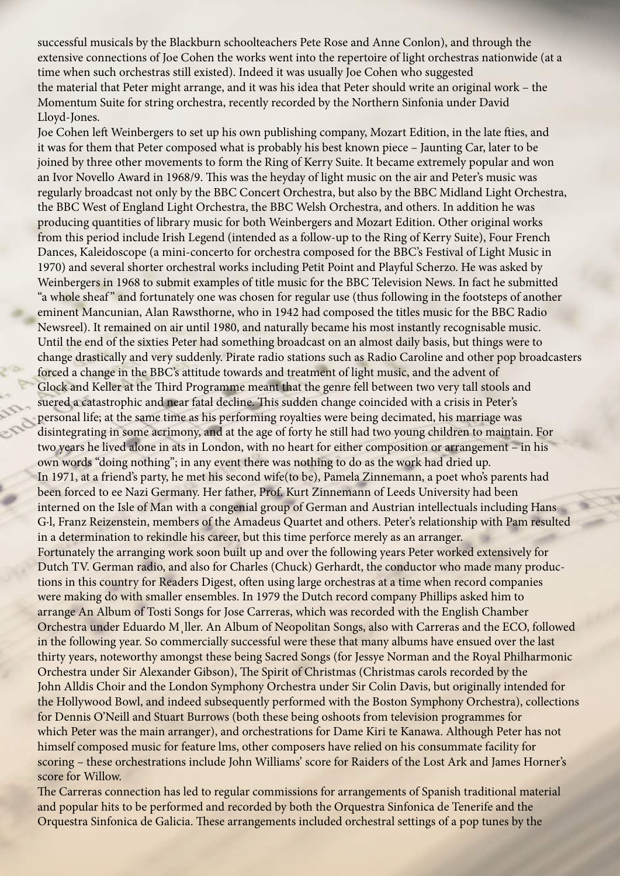successful musicals by the Blackburn schoolteachers Pete Rose and Anne Conlon), and through the extensive connections of Joe Cohen the works went into the repertoire of light orchestras nationwide (at a time when such orchestras still existed). Indeed it was usually Joe Cohen who suggested the material that Peter might arrange, and it was his idea that Peter should write an original work – the Momentum Suite for string orchestra, recently recorded by the Northern Sinfonia under David Lloyd-Jones.

Joe Cohen left Weinbergers to set up his own publishing company, Mozart Edition, in the late fties, and it was for them that Peter composed what is probably his best known piece – Jaunting Car, later to be joined by three other movements to form the Ring of Kerry Suite. It became extremely popular and won an Ivor Novello Award in 1968/9. This was the heyday of light music on the air and Peter's music was regularly broadcast not only by the BBC Concert Orchestra, but also by the BBC Midland Light Orchestra, the BBC West of England Light Orchestra, the BBC Welsh Orchestra, and others. In addition he was producing quantities of library music for both Weinbergers and Mozart Edition. Other original works from this period include Irish Legend (intended as a follow-up to the Ring of Kerry Suite), Four French Dances, Kaleidoscope (a mini-concerto for orchestra composed for the BBC's Festival of Light Music in 1970) and several shorter orchestral works including Petit Point and Playful Scherzo. He was asked by Weinbergers in 1968 to submit examples of title music for the BBC Television News. In fact he submitted "a whole sheaf" and fortunately one was chosen for regular use (thus following in the footsteps of another eminent Mancunian, Alan Rawsthorne, who in 1942 had composed the titles music for the BBC Radio Newsreel). It remained on air until 1980, and naturally became his most instantly recognisable music. Until the end of the sixties Peter had something broadcast on an almost daily basis, but things were to change drastically and very suddenly. Pirate radio stations such as Radio Caroline and other pop broadcasters forced a change in the BBC's attitude towards and treatment of light music, and the advent of Glock and Keller at the Tird Programme meant that the genre fell between two very tall stools and suered a catastrophic and near fatal decline. This sudden change coincided with a crisis in Peter's personal life; at the same time as his performing royalties were being decimated, his marriage was disintegrating in some acrimony, and at the age of forty he still had two young children to maintain. For two years he lived alone in ats in London, with no heart for either composition or arrangement – in his own words "doing nothing"; in any event there was nothing to do as the work had dried up. In 1971, at a friend's party, he met his second wife(to be), Pamela Zinnemann, a poet who's parents had been forced to ee Nazi Germany. Her father, Prof. Kurt Zinnemann of Leeds University had been interned on the Isle of Man with a congenial group of German and Austrian intellectuals including Hans G·l, Franz Reizenstein, members of the Amadeus Quartet and others. Peter's relationship with Pam resulted in a determination to rekindle his career, but this time perforce merely as an arranger. Fortunately the arranging work soon built up and over the following years Peter worked extensively for Dutch TV. German radio, and also for Charles (Chuck) Gerhardt, the conductor who made many productions in this country for Readers Digest, often using large orchestras at a time when record companies were making do with smaller ensembles. In 1979 the Dutch record company Phillips asked him to arrange An Album of Tosti Songs for Jose Carreras, which was recorded with the English Chamber Orchestra under Eduardo M¸ller. An Album of Neopolitan Songs, also with Carreras and the ECO, followed in the following year. So commercially successful were these that many albums have ensued over the last thirty years, noteworthy amongst these being Sacred Songs (for Jessye Norman and the Royal Philharmonic Orchestra under Sir Alexander Gibson), The Spirit of Christmas (Christmas carols recorded by the John Alldis Choir and the London Symphony Orchestra under Sir Colin Davis, but originally intended for the Hollywood Bowl, and indeed subsequently performed with the Boston Symphony Orchestra), collections for Dennis O'Neill and Stuart Burrows (both these being oshoots from television programmes for which Peter was the main arranger), and orchestrations for Dame Kiri te Kanawa. Although Peter has not himself composed music for feature lms, other composers have relied on his consummate facility for scoring – these orchestrations include John Williams' score for Raiders of the Lost Ark and James Horner's score for Willow.

The Carreras connection has led to regular commissions for arrangements of Spanish traditional material and popular hits to be performed and recorded by both the Orquestra Sinfonica de Tenerife and the Orquestra Sinfonica de Galicia. These arrangements included orchestral settings of a pop tunes by the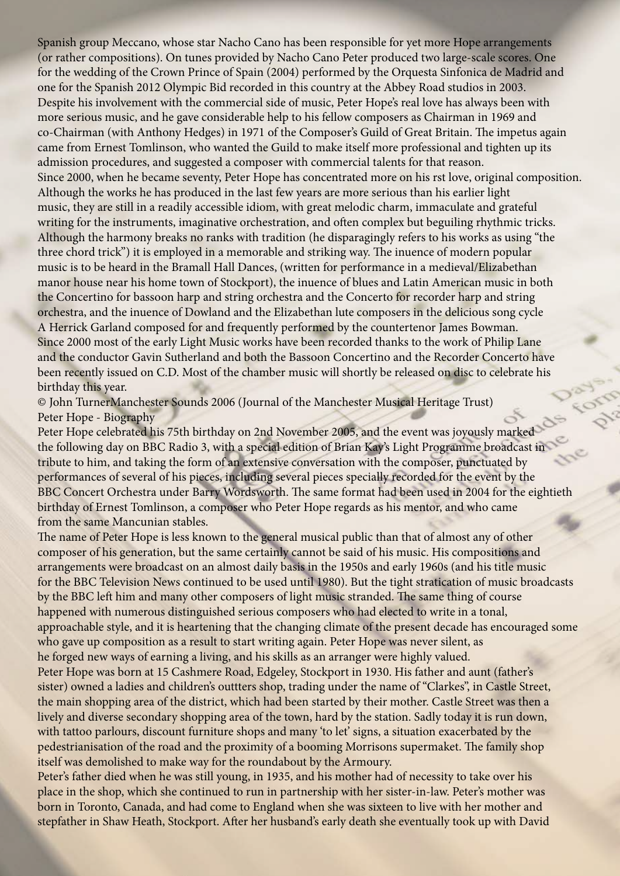Spanish group Meccano, whose star Nacho Cano has been responsible for yet more Hope arrangements (or rather compositions). On tunes provided by Nacho Cano Peter produced two large-scale scores. One for the wedding of the Crown Prince of Spain (2004) performed by the Orquesta Sinfonica de Madrid and one for the Spanish 2012 Olympic Bid recorded in this country at the Abbey Road studios in 2003. Despite his involvement with the commercial side of music, Peter Hope's real love has always been with more serious music, and he gave considerable help to his fellow composers as Chairman in 1969 and co-Chairman (with Anthony Hedges) in 1971 of the Composer's Guild of Great Britain. The impetus again came from Ernest Tomlinson, who wanted the Guild to make itself more professional and tighten up its admission procedures, and suggested a composer with commercial talents for that reason. Since 2000, when he became seventy, Peter Hope has concentrated more on his rst love, original composition. Although the works he has produced in the last few years are more serious than his earlier light music, they are still in a readily accessible idiom, with great melodic charm, immaculate and grateful writing for the instruments, imaginative orchestration, and often complex but beguiling rhythmic tricks. Although the harmony breaks no ranks with tradition (he disparagingly refers to his works as using "the three chord trick") it is employed in a memorable and striking way. The inuence of modern popular music is to be heard in the Bramall Hall Dances, (written for performance in a medieval/Elizabethan manor house near his home town of Stockport), the inuence of blues and Latin American music in both the Concertino for bassoon harp and string orchestra and the Concerto for recorder harp and string orchestra, and the inuence of Dowland and the Elizabethan lute composers in the delicious song cycle A Herrick Garland composed for and frequently performed by the countertenor James Bowman. Since 2000 most of the early Light Music works have been recorded thanks to the work of Philip Lane and the conductor Gavin Sutherland and both the Bassoon Concertino and the Recorder Concerto have been recently issued on C.D. Most of the chamber music will shortly be released on disc to celebrate his birthday this year.

© John TurnerManchester Sounds 2006 (Journal of the Manchester Musical Heritage Trust) Peter Hope - Biography

Peter Hope celebrated his 75th birthday on 2nd November 2005, and the event was joyously marked the following day on BBC Radio 3, with a special edition of Brian Kay's Light Programme broadcast in tribute to him, and taking the form of an extensive conversation with the composer, punctuated by performances of several of his pieces, including several pieces specially recorded for the event by the BBC Concert Orchestra under Barry Wordsworth. The same format had been used in 2004 for the eightieth birthday of Ernest Tomlinson, a composer who Peter Hope regards as his mentor, and who came from the same Mancunian stables.

The name of Peter Hope is less known to the general musical public than that of almost any of other composer of his generation, but the same certainly cannot be said of his music. His compositions and arrangements were broadcast on an almost daily basis in the 1950s and early 1960s (and his title music for the BBC Television News continued to be used until 1980). But the tight stratication of music broadcasts by the BBC left him and many other composers of light music stranded. The same thing of course happened with numerous distinguished serious composers who had elected to write in a tonal, approachable style, and it is heartening that the changing climate of the present decade has encouraged some who gave up composition as a result to start writing again. Peter Hope was never silent, as he forged new ways of earning a living, and his skills as an arranger were highly valued. Peter Hope was born at 15 Cashmere Road, Edgeley, Stockport in 1930. His father and aunt (father's

sister) owned a ladies and children's outtters shop, trading under the name of "Clarkes", in Castle Street, the main shopping area of the district, which had been started by their mother. Castle Street was then a lively and diverse secondary shopping area of the town, hard by the station. Sadly today it is run down, with tattoo parlours, discount furniture shops and many 'to let' signs, a situation exacerbated by the pedestrianisation of the road and the proximity of a booming Morrisons supermaket. The family shop itself was demolished to make way for the roundabout by the Armoury.

Peter's father died when he was still young, in 1935, and his mother had of necessity to take over his place in the shop, which she continued to run in partnership with her sister-in-law. Peter's mother was born in Toronto, Canada, and had come to England when she was sixteen to live with her mother and stepfather in Shaw Heath, Stockport. Afer her husband's early death she eventually took up with David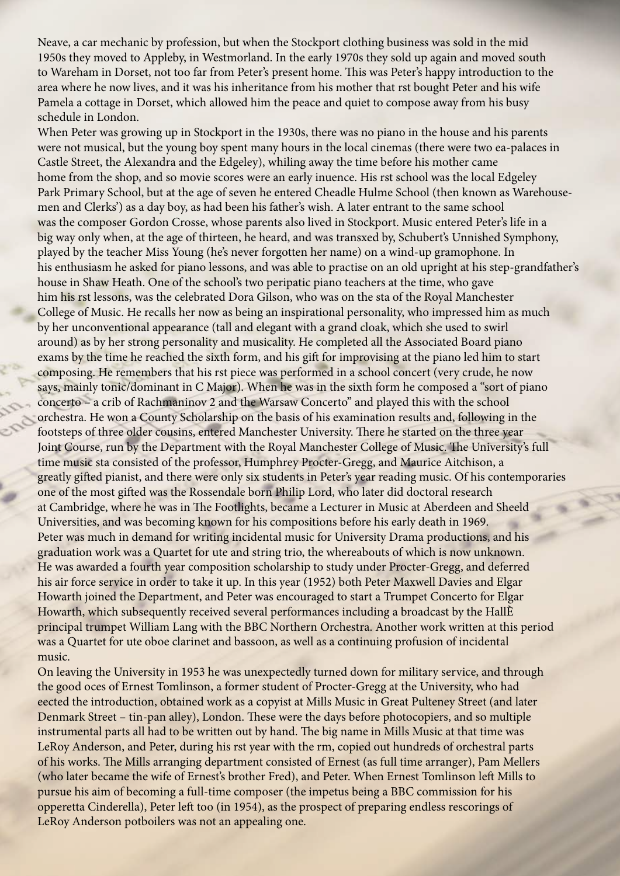Neave, a car mechanic by profession, but when the Stockport clothing business was sold in the mid 1950s they moved to Appleby, in Westmorland. In the early 1970s they sold up again and moved south to Wareham in Dorset, not too far from Peter's present home. This was Peter's happy introduction to the area where he now lives, and it was his inheritance from his mother that rst bought Peter and his wife Pamela a cottage in Dorset, which allowed him the peace and quiet to compose away from his busy schedule in London.

When Peter was growing up in Stockport in the 1930s, there was no piano in the house and his parents were not musical, but the young boy spent many hours in the local cinemas (there were two ea-palaces in Castle Street, the Alexandra and the Edgeley), whiling away the time before his mother came home from the shop, and so movie scores were an early inuence. His rst school was the local Edgeley Park Primary School, but at the age of seven he entered Cheadle Hulme School (then known as Warehousemen and Clerks') as a day boy, as had been his father's wish. A later entrant to the same school was the composer Gordon Crosse, whose parents also lived in Stockport. Music entered Peter's life in a big way only when, at the age of thirteen, he heard, and was transxed by, Schubert's Unnished Symphony, played by the teacher Miss Young (he's never forgotten her name) on a wind-up gramophone. In his enthusiasm he asked for piano lessons, and was able to practise on an old upright at his step-grandfather's house in Shaw Heath. One of the school's two peripatic piano teachers at the time, who gave him his rst lessons, was the celebrated Dora Gilson, who was on the sta of the Royal Manchester College of Music. He recalls her now as being an inspirational personality, who impressed him as much by her unconventional appearance (tall and elegant with a grand cloak, which she used to swirl around) as by her strong personality and musicality. He completed all the Associated Board piano exams by the time he reached the sixth form, and his gif for improvising at the piano led him to start composing. He remembers that his rst piece was performed in a school concert (very crude, he now says, mainly tonic/dominant in C Major). When he was in the sixth form he composed a "sort of piano concerto – a crib of Rachmaninov 2 and the Warsaw Concerto" and played this with the school orchestra. He won a County Scholarship on the basis of his examination results and, following in the footsteps of three older cousins, entered Manchester University. There he started on the three year Joint Course, run by the Department with the Royal Manchester College of Music. The University's full time music sta consisted of the professor, Humphrey Procter-Gregg, and Maurice Aitchison, a greatly gifed pianist, and there were only six students in Peter's year reading music. Of his contemporaries one of the most gifed was the Rossendale born Philip Lord, who later did doctoral research at Cambridge, where he was in The Footlights, became a Lecturer in Music at Aberdeen and Sheeld Universities, and was becoming known for his compositions before his early death in 1969. Peter was much in demand for writing incidental music for University Drama productions, and his graduation work was a Quartet for ute and string trio, the whereabouts of which is now unknown. He was awarded a fourth year composition scholarship to study under Procter-Gregg, and deferred his air force service in order to take it up. In this year (1952) both Peter Maxwell Davies and Elgar Howarth joined the Department, and Peter was encouraged to start a Trumpet Concerto for Elgar Howarth, which subsequently received several performances including a broadcast by the HallÈ principal trumpet William Lang with the BBC Northern Orchestra. Another work written at this period was a Quartet for ute oboe clarinet and bassoon, as well as a continuing profusion of incidental music.

On leaving the University in 1953 he was unexpectedly turned down for military service, and through the good oces of Ernest Tomlinson, a former student of Procter-Gregg at the University, who had eected the introduction, obtained work as a copyist at Mills Music in Great Pulteney Street (and later Denmark Street – tin-pan alley), London. These were the days before photocopiers, and so multiple instrumental parts all had to be written out by hand. The big name in Mills Music at that time was LeRoy Anderson, and Peter, during his rst year with the rm, copied out hundreds of orchestral parts of his works. The Mills arranging department consisted of Ernest (as full time arranger), Pam Mellers (who later became the wife of Ernest's brother Fred), and Peter. When Ernest Tomlinson left Mills to pursue his aim of becoming a full-time composer (the impetus being a BBC commission for his opperetta Cinderella), Peter left too (in 1954), as the prospect of preparing endless rescorings of LeRoy Anderson potboilers was not an appealing one.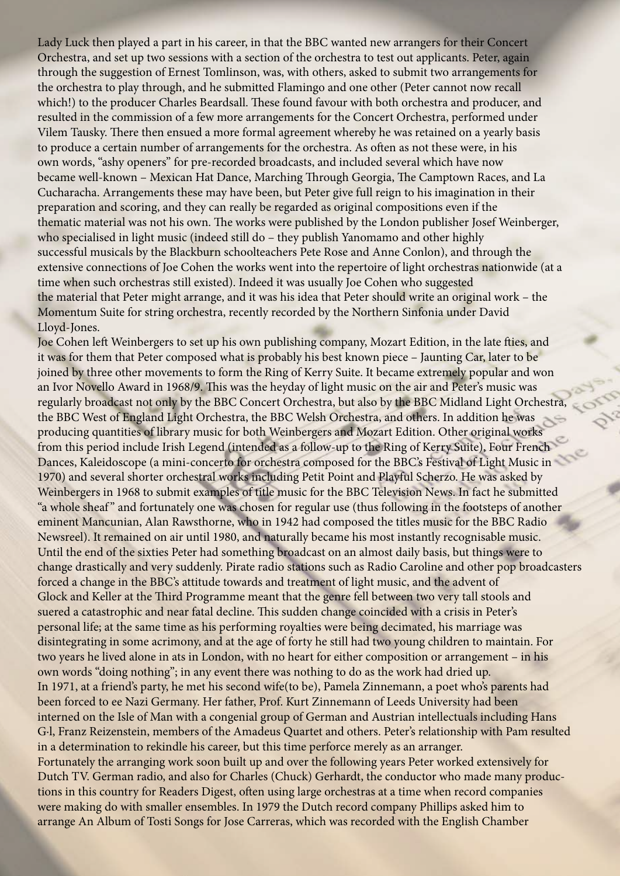Lady Luck then played a part in his career, in that the BBC wanted new arrangers for their Concert Orchestra, and set up two sessions with a section of the orchestra to test out applicants. Peter, again through the suggestion of Ernest Tomlinson, was, with others, asked to submit two arrangements for the orchestra to play through, and he submitted Flamingo and one other (Peter cannot now recall which!) to the producer Charles Beardsall. These found favour with both orchestra and producer, and resulted in the commission of a few more arrangements for the Concert Orchestra, performed under Vilem Tausky. There then ensued a more formal agreement whereby he was retained on a yearly basis to produce a certain number of arrangements for the orchestra. As ofen as not these were, in his own words, "ashy openers" for pre-recorded broadcasts, and included several which have now became well-known - Mexican Hat Dance, Marching Through Georgia, The Camptown Races, and La Cucharacha. Arrangements these may have been, but Peter give full reign to his imagination in their preparation and scoring, and they can really be regarded as original compositions even if the thematic material was not his own. The works were published by the London publisher Josef Weinberger, who specialised in light music (indeed still do – they publish Yanomamo and other highly successful musicals by the Blackburn schoolteachers Pete Rose and Anne Conlon), and through the extensive connections of Joe Cohen the works went into the repertoire of light orchestras nationwide (at a time when such orchestras still existed). Indeed it was usually Joe Cohen who suggested the material that Peter might arrange, and it was his idea that Peter should write an original work – the Momentum Suite for string orchestra, recently recorded by the Northern Sinfonia under David Lloyd-Jones.

Joe Cohen left Weinbergers to set up his own publishing company, Mozart Edition, in the late fties, and it was for them that Peter composed what is probably his best known piece – Jaunting Car, later to be joined by three other movements to form the Ring of Kerry Suite. It became extremely popular and won an Ivor Novello Award in 1968/9. This was the heyday of light music on the air and Peter's music was regularly broadcast not only by the BBC Concert Orchestra, but also by the BBC Midland Light Orchestra, the BBC West of England Light Orchestra, the BBC Welsh Orchestra, and others. In addition he was producing quantities of library music for both Weinbergers and Mozart Edition. Other original works from this period include Irish Legend (intended as a follow-up to the Ring of Kerry Suite), Four French Dances, Kaleidoscope (a mini-concerto for orchestra composed for the BBC's Festival of Light Music in 1970) and several shorter orchestral works including Petit Point and Playful Scherzo. He was asked by Weinbergers in 1968 to submit examples of title music for the BBC Television News. In fact he submitted "a whole sheaf" and fortunately one was chosen for regular use (thus following in the footsteps of another eminent Mancunian, Alan Rawsthorne, who in 1942 had composed the titles music for the BBC Radio Newsreel). It remained on air until 1980, and naturally became his most instantly recognisable music. Until the end of the sixties Peter had something broadcast on an almost daily basis, but things were to change drastically and very suddenly. Pirate radio stations such as Radio Caroline and other pop broadcasters forced a change in the BBC's attitude towards and treatment of light music, and the advent of Glock and Keller at the Tird Programme meant that the genre fell between two very tall stools and suered a catastrophic and near fatal decline. This sudden change coincided with a crisis in Peter's personal life; at the same time as his performing royalties were being decimated, his marriage was disintegrating in some acrimony, and at the age of forty he still had two young children to maintain. For two years he lived alone in ats in London, with no heart for either composition or arrangement – in his own words "doing nothing"; in any event there was nothing to do as the work had dried up. In 1971, at a friend's party, he met his second wife(to be), Pamela Zinnemann, a poet who's parents had been forced to ee Nazi Germany. Her father, Prof. Kurt Zinnemann of Leeds University had been interned on the Isle of Man with a congenial group of German and Austrian intellectuals including Hans G·l, Franz Reizenstein, members of the Amadeus Quartet and others. Peter's relationship with Pam resulted in a determination to rekindle his career, but this time perforce merely as an arranger. Fortunately the arranging work soon built up and over the following years Peter worked extensively for Dutch TV. German radio, and also for Charles (Chuck) Gerhardt, the conductor who made many productions in this country for Readers Digest, often using large orchestras at a time when record companies were making do with smaller ensembles. In 1979 the Dutch record company Phillips asked him to arrange An Album of Tosti Songs for Jose Carreras, which was recorded with the English Chamber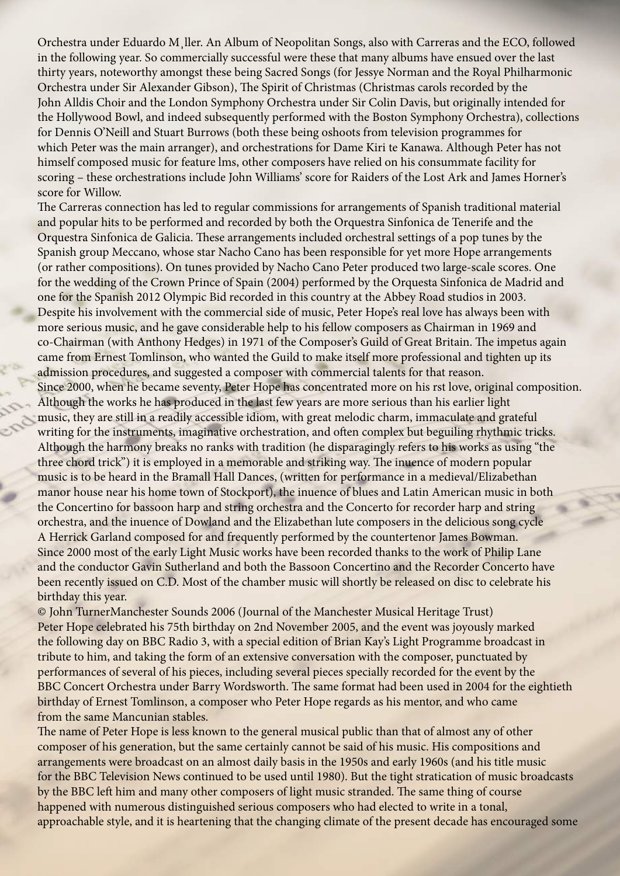Orchestra under Eduardo M¸ller. An Album of Neopolitan Songs, also with Carreras and the ECO, followed in the following year. So commercially successful were these that many albums have ensued over the last thirty years, noteworthy amongst these being Sacred Songs (for Jessye Norman and the Royal Philharmonic Orchestra under Sir Alexander Gibson), The Spirit of Christmas (Christmas carols recorded by the John Alldis Choir and the London Symphony Orchestra under Sir Colin Davis, but originally intended for the Hollywood Bowl, and indeed subsequently performed with the Boston Symphony Orchestra), collections for Dennis O'Neill and Stuart Burrows (both these being oshoots from television programmes for which Peter was the main arranger), and orchestrations for Dame Kiri te Kanawa. Although Peter has not himself composed music for feature lms, other composers have relied on his consummate facility for scoring – these orchestrations include John Williams' score for Raiders of the Lost Ark and James Horner's score for Willow.

The Carreras connection has led to regular commissions for arrangements of Spanish traditional material and popular hits to be performed and recorded by both the Orquestra Sinfonica de Tenerife and the Orquestra Sinfonica de Galicia. These arrangements included orchestral settings of a pop tunes by the Spanish group Meccano, whose star Nacho Cano has been responsible for yet more Hope arrangements (or rather compositions). On tunes provided by Nacho Cano Peter produced two large-scale scores. One for the wedding of the Crown Prince of Spain (2004) performed by the Orquesta Sinfonica de Madrid and one for the Spanish 2012 Olympic Bid recorded in this country at the Abbey Road studios in 2003. Despite his involvement with the commercial side of music, Peter Hope's real love has always been with more serious music, and he gave considerable help to his fellow composers as Chairman in 1969 and co-Chairman (with Anthony Hedges) in 1971 of the Composer's Guild of Great Britain. The impetus again came from Ernest Tomlinson, who wanted the Guild to make itself more professional and tighten up its admission procedures, and suggested a composer with commercial talents for that reason.

Since 2000, when he became seventy, Peter Hope has concentrated more on his rst love, original composition. Although the works he has produced in the last few years are more serious than his earlier light music, they are still in a readily accessible idiom, with great melodic charm, immaculate and grateful writing for the instruments, imaginative orchestration, and often complex but beguiling rhythmic tricks. Although the harmony breaks no ranks with tradition (he disparagingly refers to his works as using "the three chord trick") it is employed in a memorable and striking way. The inuence of modern popular music is to be heard in the Bramall Hall Dances, (written for performance in a medieval/Elizabethan manor house near his home town of Stockport), the inuence of blues and Latin American music in both the Concertino for bassoon harp and string orchestra and the Concerto for recorder harp and string orchestra, and the inuence of Dowland and the Elizabethan lute composers in the delicious song cycle A Herrick Garland composed for and frequently performed by the countertenor James Bowman. Since 2000 most of the early Light Music works have been recorded thanks to the work of Philip Lane and the conductor Gavin Sutherland and both the Bassoon Concertino and the Recorder Concerto have been recently issued on C.D. Most of the chamber music will shortly be released on disc to celebrate his birthday this year.

© John TurnerManchester Sounds 2006 (Journal of the Manchester Musical Heritage Trust) Peter Hope celebrated his 75th birthday on 2nd November 2005, and the event was joyously marked the following day on BBC Radio 3, with a special edition of Brian Kay's Light Programme broadcast in tribute to him, and taking the form of an extensive conversation with the composer, punctuated by performances of several of his pieces, including several pieces specially recorded for the event by the BBC Concert Orchestra under Barry Wordsworth. The same format had been used in 2004 for the eightieth birthday of Ernest Tomlinson, a composer who Peter Hope regards as his mentor, and who came from the same Mancunian stables.

The name of Peter Hope is less known to the general musical public than that of almost any of other composer of his generation, but the same certainly cannot be said of his music. His compositions and arrangements were broadcast on an almost daily basis in the 1950s and early 1960s (and his title music for the BBC Television News continued to be used until 1980). But the tight stratication of music broadcasts by the BBC left him and many other composers of light music stranded. The same thing of course happened with numerous distinguished serious composers who had elected to write in a tonal, approachable style, and it is heartening that the changing climate of the present decade has encouraged some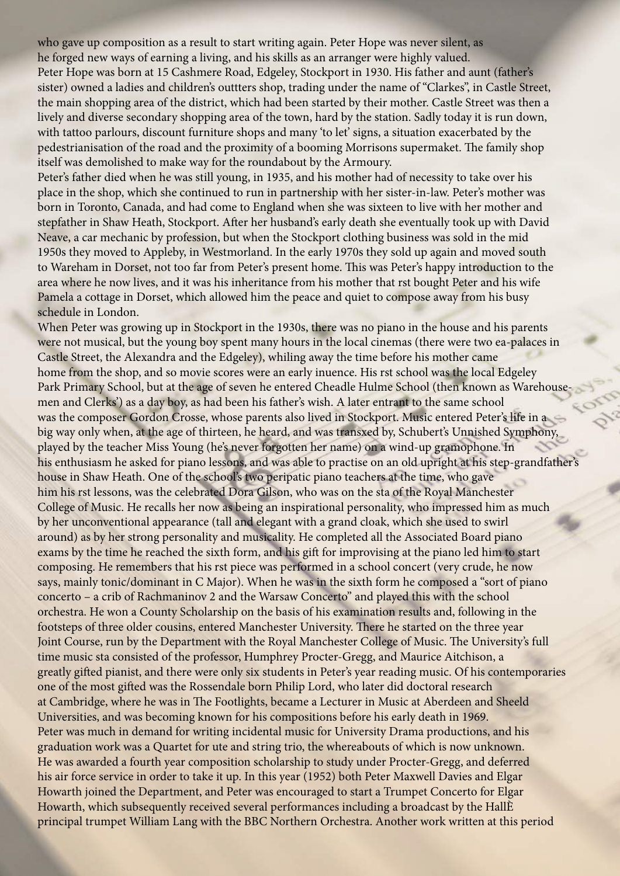who gave up composition as a result to start writing again. Peter Hope was never silent, as he forged new ways of earning a living, and his skills as an arranger were highly valued. Peter Hope was born at 15 Cashmere Road, Edgeley, Stockport in 1930. His father and aunt (father's sister) owned a ladies and children's outtters shop, trading under the name of "Clarkes", in Castle Street, the main shopping area of the district, which had been started by their mother. Castle Street was then a lively and diverse secondary shopping area of the town, hard by the station. Sadly today it is run down, with tattoo parlours, discount furniture shops and many 'to let' signs, a situation exacerbated by the pedestrianisation of the road and the proximity of a booming Morrisons supermaket. The family shop itself was demolished to make way for the roundabout by the Armoury.

Peter's father died when he was still young, in 1935, and his mother had of necessity to take over his place in the shop, which she continued to run in partnership with her sister-in-law. Peter's mother was born in Toronto, Canada, and had come to England when she was sixteen to live with her mother and stepfather in Shaw Heath, Stockport. Afer her husband's early death she eventually took up with David Neave, a car mechanic by profession, but when the Stockport clothing business was sold in the mid 1950s they moved to Appleby, in Westmorland. In the early 1970s they sold up again and moved south to Wareham in Dorset, not too far from Peter's present home. This was Peter's happy introduction to the area where he now lives, and it was his inheritance from his mother that rst bought Peter and his wife Pamela a cottage in Dorset, which allowed him the peace and quiet to compose away from his busy schedule in London.

When Peter was growing up in Stockport in the 1930s, there was no piano in the house and his parents were not musical, but the young boy spent many hours in the local cinemas (there were two ea-palaces in Castle Street, the Alexandra and the Edgeley), whiling away the time before his mother came home from the shop, and so movie scores were an early inuence. His rst school was the local Edgeley Park Primary School, but at the age of seven he entered Cheadle Hulme School (then known as Warehousemen and Clerks') as a day boy, as had been his father's wish. A later entrant to the same school was the composer Gordon Crosse, whose parents also lived in Stockport. Music entered Peter's life in a big way only when, at the age of thirteen, he heard, and was transxed by, Schubert's Unnished Symphony, played by the teacher Miss Young (he's never forgotten her name) on a wind-up gramophone. In his enthusiasm he asked for piano lessons, and was able to practise on an old upright at his step-grandfather's house in Shaw Heath. One of the school's two peripatic piano teachers at the time, who gave him his rst lessons, was the celebrated Dora Gilson, who was on the sta of the Royal Manchester College of Music. He recalls her now as being an inspirational personality, who impressed him as much by her unconventional appearance (tall and elegant with a grand cloak, which she used to swirl around) as by her strong personality and musicality. He completed all the Associated Board piano exams by the time he reached the sixth form, and his gif for improvising at the piano led him to start composing. He remembers that his rst piece was performed in a school concert (very crude, he now says, mainly tonic/dominant in C Major). When he was in the sixth form he composed a "sort of piano concerto – a crib of Rachmaninov 2 and the Warsaw Concerto" and played this with the school orchestra. He won a County Scholarship on the basis of his examination results and, following in the footsteps of three older cousins, entered Manchester University. There he started on the three year Joint Course, run by the Department with the Royal Manchester College of Music. The University's full time music sta consisted of the professor, Humphrey Procter-Gregg, and Maurice Aitchison, a greatly gifed pianist, and there were only six students in Peter's year reading music. Of his contemporaries one of the most gifed was the Rossendale born Philip Lord, who later did doctoral research at Cambridge, where he was in The Footlights, became a Lecturer in Music at Aberdeen and Sheeld Universities, and was becoming known for his compositions before his early death in 1969. Peter was much in demand for writing incidental music for University Drama productions, and his graduation work was a Quartet for ute and string trio, the whereabouts of which is now unknown. He was awarded a fourth year composition scholarship to study under Procter-Gregg, and deferred his air force service in order to take it up. In this year (1952) both Peter Maxwell Davies and Elgar Howarth joined the Department, and Peter was encouraged to start a Trumpet Concerto for Elgar Howarth, which subsequently received several performances including a broadcast by the HallÈ principal trumpet William Lang with the BBC Northern Orchestra. Another work written at this period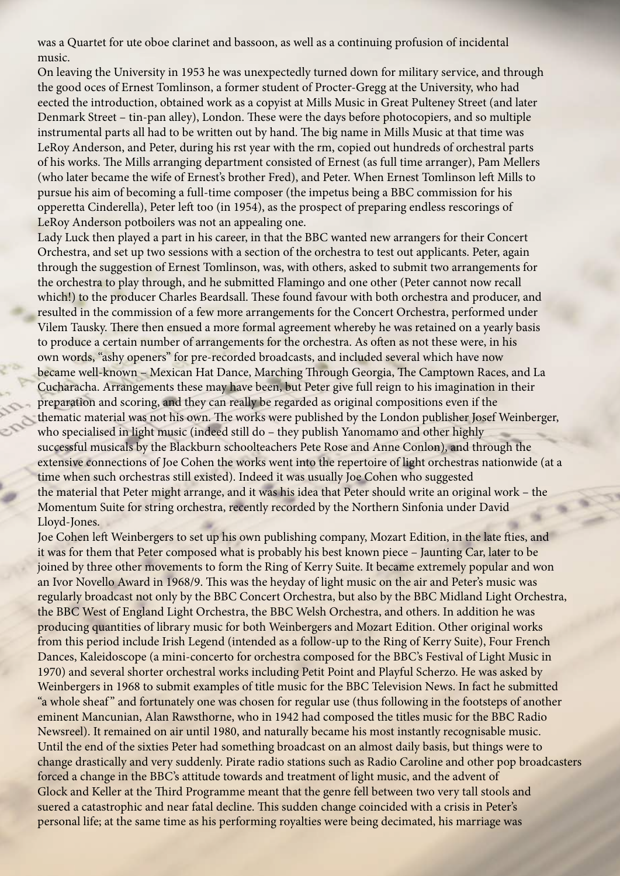was a Quartet for ute oboe clarinet and bassoon, as well as a continuing profusion of incidental music.

On leaving the University in 1953 he was unexpectedly turned down for military service, and through the good oces of Ernest Tomlinson, a former student of Procter-Gregg at the University, who had eected the introduction, obtained work as a copyist at Mills Music in Great Pulteney Street (and later Denmark Street – tin-pan alley), London. These were the days before photocopiers, and so multiple instrumental parts all had to be written out by hand. The big name in Mills Music at that time was LeRoy Anderson, and Peter, during his rst year with the rm, copied out hundreds of orchestral parts of his works. The Mills arranging department consisted of Ernest (as full time arranger), Pam Mellers (who later became the wife of Ernest's brother Fred), and Peter. When Ernest Tomlinson left Mills to pursue his aim of becoming a full-time composer (the impetus being a BBC commission for his opperetta Cinderella), Peter left too (in 1954), as the prospect of preparing endless rescorings of LeRoy Anderson potboilers was not an appealing one.

Lady Luck then played a part in his career, in that the BBC wanted new arrangers for their Concert Orchestra, and set up two sessions with a section of the orchestra to test out applicants. Peter, again through the suggestion of Ernest Tomlinson, was, with others, asked to submit two arrangements for the orchestra to play through, and he submitted Flamingo and one other (Peter cannot now recall which!) to the producer Charles Beardsall. These found favour with both orchestra and producer, and resulted in the commission of a few more arrangements for the Concert Orchestra, performed under Vilem Tausky. There then ensued a more formal agreement whereby he was retained on a yearly basis to produce a certain number of arrangements for the orchestra. As ofen as not these were, in his own words, "ashy openers" for pre-recorded broadcasts, and included several which have now became well-known – Mexican Hat Dance, Marching Through Georgia, The Camptown Races, and La Cucharacha. Arrangements these may have been, but Peter give full reign to his imagination in their preparation and scoring, and they can really be regarded as original compositions even if the thematic material was not his own. The works were published by the London publisher Josef Weinberger, who specialised in light music (indeed still do – they publish Yanomamo and other highly successful musicals by the Blackburn schoolteachers Pete Rose and Anne Conlon), and through the extensive connections of Joe Cohen the works went into the repertoire of light orchestras nationwide (at a time when such orchestras still existed). Indeed it was usually Joe Cohen who suggested the material that Peter might arrange, and it was his idea that Peter should write an original work – the Momentum Suite for string orchestra, recently recorded by the Northern Sinfonia under David Lloyd-Jones.

Joe Cohen left Weinbergers to set up his own publishing company, Mozart Edition, in the late fties, and it was for them that Peter composed what is probably his best known piece – Jaunting Car, later to be joined by three other movements to form the Ring of Kerry Suite. It became extremely popular and won an Ivor Novello Award in 1968/9. This was the heyday of light music on the air and Peter's music was regularly broadcast not only by the BBC Concert Orchestra, but also by the BBC Midland Light Orchestra, the BBC West of England Light Orchestra, the BBC Welsh Orchestra, and others. In addition he was producing quantities of library music for both Weinbergers and Mozart Edition. Other original works from this period include Irish Legend (intended as a follow-up to the Ring of Kerry Suite), Four French Dances, Kaleidoscope (a mini-concerto for orchestra composed for the BBC's Festival of Light Music in 1970) and several shorter orchestral works including Petit Point and Playful Scherzo. He was asked by Weinbergers in 1968 to submit examples of title music for the BBC Television News. In fact he submitted "a whole sheaf" and fortunately one was chosen for regular use (thus following in the footsteps of another eminent Mancunian, Alan Rawsthorne, who in 1942 had composed the titles music for the BBC Radio Newsreel). It remained on air until 1980, and naturally became his most instantly recognisable music. Until the end of the sixties Peter had something broadcast on an almost daily basis, but things were to change drastically and very suddenly. Pirate radio stations such as Radio Caroline and other pop broadcasters forced a change in the BBC's attitude towards and treatment of light music, and the advent of Glock and Keller at the Tird Programme meant that the genre fell between two very tall stools and suered a catastrophic and near fatal decline. This sudden change coincided with a crisis in Peter's personal life; at the same time as his performing royalties were being decimated, his marriage was